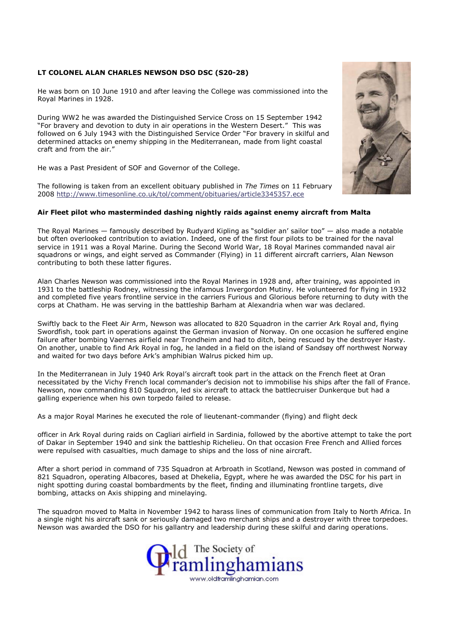## LT COLONEL ALAN CHARLES NEWSON DSO DSC (S20-28)

He was born on 10 June 1910 and after leaving the College was commissioned into the Royal Marines in 1928.

During WW2 he was awarded the Distinguished Service Cross on 15 September 1942 "For bravery and devotion to duty in air operations in the Western Desert." This was followed on 6 July 1943 with the Distinguished Service Order "For bravery in skilful and determined attacks on enemy shipping in the Mediterranean, made from light coastal craft and from the air."

He was a Past President of SOF and Governor of the College.

The following is taken from an excellent obituary published in The Times on 11 February 2008 http://www.timesonline.co.uk/tol/comment/obituaries/article3345357.ece

## Air Fleet pilot who masterminded dashing nightly raids against enemy aircraft from Malta

The Royal Marines — famously described by Rudyard Kipling as "soldier an' sailor too" — also made a notable but often overlooked contribution to aviation. Indeed, one of the first four pilots to be trained for the naval service in 1911 was a Royal Marine. During the Second World War, 18 Royal Marines commanded naval air squadrons or wings, and eight served as Commander (Flying) in 11 different aircraft carriers, Alan Newson contributing to both these latter figures.

Alan Charles Newson was commissioned into the Royal Marines in 1928 and, after training, was appointed in 1931 to the battleship Rodney, witnessing the infamous Invergordon Mutiny. He volunteered for flying in 1932 and completed five years frontline service in the carriers Furious and Glorious before returning to duty with the corps at Chatham. He was serving in the battleship Barham at Alexandria when war was declared.

Swiftly back to the Fleet Air Arm, Newson was allocated to 820 Squadron in the carrier Ark Royal and, flying Swordfish, took part in operations against the German invasion of Norway. On one occasion he suffered engine failure after bombing Vaernes airfield near Trondheim and had to ditch, being rescued by the destroyer Hasty. On another, unable to find Ark Royal in fog, he landed in a field on the island of Sandsøy off northwest Norway and waited for two days before Ark's amphibian Walrus picked him up.

In the Mediterranean in July 1940 Ark Royal's aircraft took part in the attack on the French fleet at Oran necessitated by the Vichy French local commander's decision not to immobilise his ships after the fall of France. Newson, now commanding 810 Squadron, led six aircraft to attack the battlecruiser Dunkerque but had a galling experience when his own torpedo failed to release.

As a major Royal Marines he executed the role of lieutenant-commander (flying) and flight deck

officer in Ark Royal during raids on Cagliari airfield in Sardinia, followed by the abortive attempt to take the port of Dakar in September 1940 and sink the battleship Richelieu. On that occasion Free French and Allied forces were repulsed with casualties, much damage to ships and the loss of nine aircraft.

After a short period in command of 735 Squadron at Arbroath in Scotland, Newson was posted in command of 821 Squadron, operating Albacores, based at Dhekelia, Egypt, where he was awarded the DSC for his part in night spotting during coastal bombardments by the fleet, finding and illuminating frontline targets, dive bombing, attacks on Axis shipping and minelaying.

The squadron moved to Malta in November 1942 to harass lines of communication from Italy to North Africa. In a single night his aircraft sank or seriously damaged two merchant ships and a destroyer with three torpedoes. Newson was awarded the DSO for his gallantry and leadership during these skilful and daring operations.